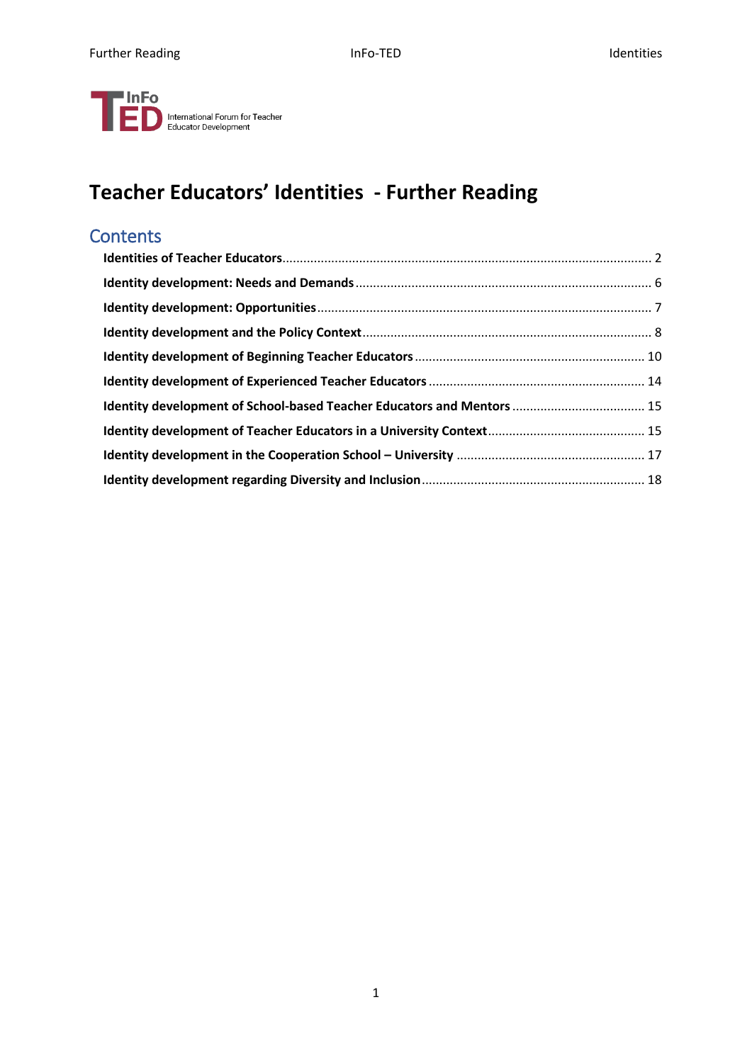

# **Teacher Educators' Identities - Further Reading**

## **Contents**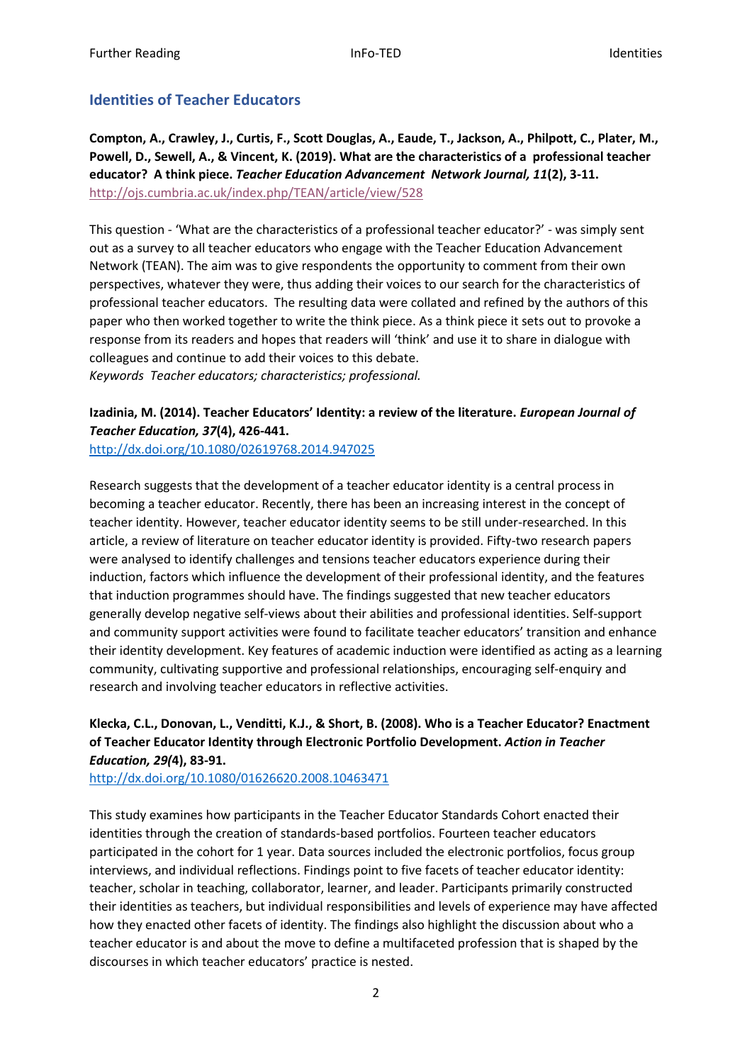## <span id="page-1-0"></span>**Identities of Teacher Educators**

**Compton, A., Crawley, J., Curtis, F., Scott Douglas, A., Eaude, T., Jackson, A., Philpott, C., Plater, M., Powell, D., Sewell, A., & Vincent, K. (2019). What are the characteristics of a professional teacher educator? A think piece.** *Teacher Education Advancement Network Journal, 11***(2), 3-11.** <http://ojs.cumbria.ac.uk/index.php/TEAN/article/view/528>

This question - 'What are the characteristics of a professional teacher educator?' - was simply sent out as a survey to all teacher educators who engage with the Teacher Education Advancement Network (TEAN). The aim was to give respondents the opportunity to comment from their own perspectives, whatever they were, thus adding their voices to our search for the characteristics of professional teacher educators. The resulting data were collated and refined by the authors of this paper who then worked together to write the think piece. As a think piece it sets out to provoke a response from its readers and hopes that readers will 'think' and use it to share in dialogue with colleagues and continue to add their voices to this debate. *Keywords Teacher educators; characteristics; professional.*

## **Izadinia, M. (2014). Teacher Educators' Identity: a review of the literature.** *European Journal of Teacher Education, 37***(4), 426-441.**

<http://dx.doi.org/10.1080/02619768.2014.947025>

Research suggests that the development of a teacher educator identity is a central process in becoming a teacher educator. Recently, there has been an increasing interest in the concept of teacher identity. However, teacher educator identity seems to be still under-researched. In this article, a review of literature on teacher educator identity is provided. Fifty-two research papers were analysed to identify challenges and tensions teacher educators experience during their induction, factors which influence the development of their professional identity, and the features that induction programmes should have. The findings suggested that new teacher educators generally develop negative self-views about their abilities and professional identities. Self-support and community support activities were found to facilitate teacher educators' transition and enhance their identity development. Key features of academic induction were identified as acting as a learning community, cultivating supportive and professional relationships, encouraging self-enquiry and research and involving teacher educators in reflective activities.

## **Klecka, C.L., Donovan, L., Venditti, K.J., & Short, B. (2008). Who is a Teacher Educator? Enactment of Teacher Educator Identity through Electronic Portfolio Development.** *Action in Teacher Education, 29(***4), 83-91.**

<http://dx.doi.org/10.1080/01626620.2008.10463471>

This study examines how participants in the Teacher Educator Standards Cohort enacted their identities through the creation of standards-based portfolios. Fourteen teacher educators participated in the cohort for 1 year. Data sources included the electronic portfolios, focus group interviews, and individual reflections. Findings point to five facets of teacher educator identity: teacher, scholar in teaching, collaborator, learner, and leader. Participants primarily constructed their identities as teachers, but individual responsibilities and levels of experience may have affected how they enacted other facets of identity. The findings also highlight the discussion about who a teacher educator is and about the move to define a multifaceted profession that is shaped by the discourses in which teacher educators' practice is nested.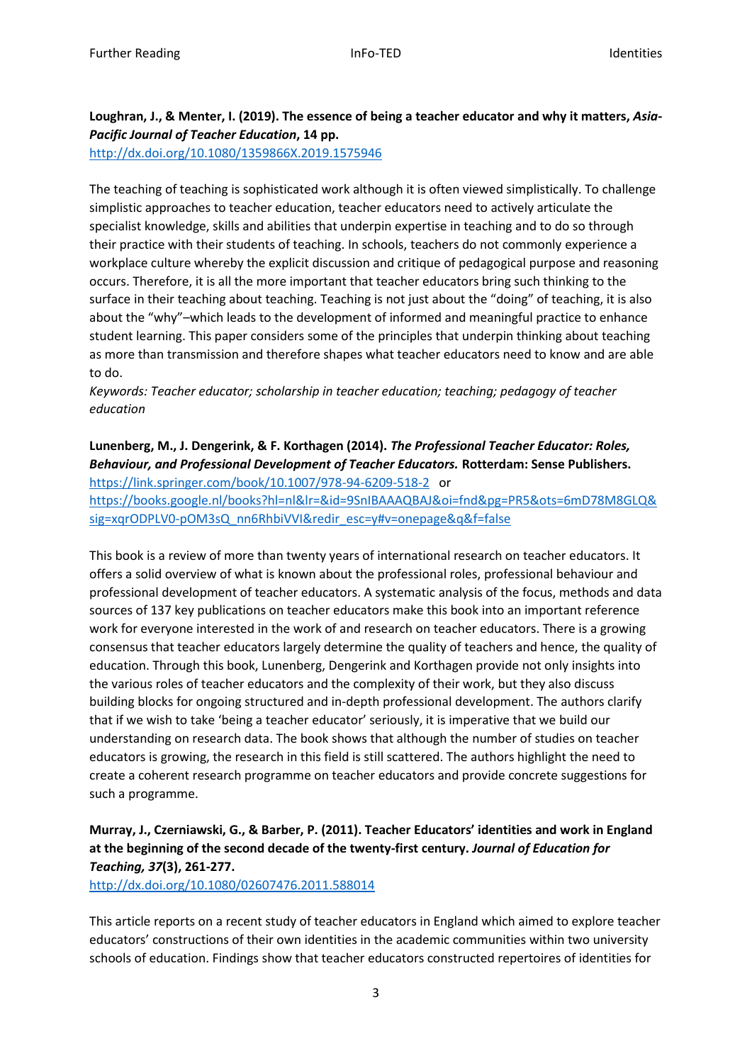## **Loughran, J., & Menter, I. (2019). The essence of being a teacher educator and why it matters,** *Asia-Pacific Journal of Teacher Education***, 14 pp.**

<http://dx.doi.org/10.1080/1359866X.2019.1575946>

The teaching of teaching is sophisticated work although it is often viewed simplistically. To challenge simplistic approaches to teacher education, teacher educators need to actively articulate the specialist knowledge, skills and abilities that underpin expertise in teaching and to do so through their practice with their students of teaching. In schools, teachers do not commonly experience a workplace culture whereby the explicit discussion and critique of pedagogical purpose and reasoning occurs. Therefore, it is all the more important that teacher educators bring such thinking to the surface in their teaching about teaching. Teaching is not just about the "doing" of teaching, it is also about the "why"–which leads to the development of informed and meaningful practice to enhance student learning. This paper considers some of the principles that underpin thinking about teaching as more than transmission and therefore shapes what teacher educators need to know and are able to do.

*Keywords: Teacher educator; scholarship in teacher education; teaching; pedagogy of teacher education*

**Lunenberg, M., J. Dengerink, & F. Korthagen (2014).** *The Professional Teacher Educator: Roles, Behaviour, and Professional Development of Teacher Educators.* **Rotterdam: Sense Publishers.**  <https://link.springer.com/book/10.1007/978-94-6209-518-2> or

[https://books.google.nl/books?hl=nl&lr=&id=9SnIBAAAQBAJ&oi=fnd&pg=PR5&ots=6mD78M8GLQ&](https://books.google.nl/books?hl=nl&lr=&id=9SnIBAAAQBAJ&oi=fnd&pg=PR5&ots=6mD78M8GLQ&sig=xqrODPLV0-pOM3sQ_nn6RhbiVVI&redir_esc=y#v=onepage&q&f=false) [sig=xqrODPLV0-pOM3sQ\\_nn6RhbiVVI&redir\\_esc=y#v=onepage&q&f=false](https://books.google.nl/books?hl=nl&lr=&id=9SnIBAAAQBAJ&oi=fnd&pg=PR5&ots=6mD78M8GLQ&sig=xqrODPLV0-pOM3sQ_nn6RhbiVVI&redir_esc=y#v=onepage&q&f=false)

This book is a review of more than twenty years of international research on teacher educators. It offers a solid overview of what is known about the professional roles, professional behaviour and professional development of teacher educators. A systematic analysis of the focus, methods and data sources of 137 key publications on teacher educators make this book into an important reference work for everyone interested in the work of and research on teacher educators. There is a growing consensus that teacher educators largely determine the quality of teachers and hence, the quality of education. Through this book, Lunenberg, Dengerink and Korthagen provide not only insights into the various roles of teacher educators and the complexity of their work, but they also discuss building blocks for ongoing structured and in-depth professional development. The authors clarify that if we wish to take 'being a teacher educator' seriously, it is imperative that we build our understanding on research data. The book shows that although the number of studies on teacher educators is growing, the research in this field is still scattered. The authors highlight the need to create a coherent research programme on teacher educators and provide concrete suggestions for such a programme.

#### **Murray, J., Czerniawski, G., & Barber, P. (2011). Teacher Educators' identities and work in England at the beginning of the second decade of the twenty-first century.** *Journal of Education for Teaching, 37***(3), 261-277.**

<http://dx.doi.org/10.1080/02607476.2011.588014>

This article reports on a recent study of teacher educators in England which aimed to explore teacher educators' constructions of their own identities in the academic communities within two university schools of education. Findings show that teacher educators constructed repertoires of identities for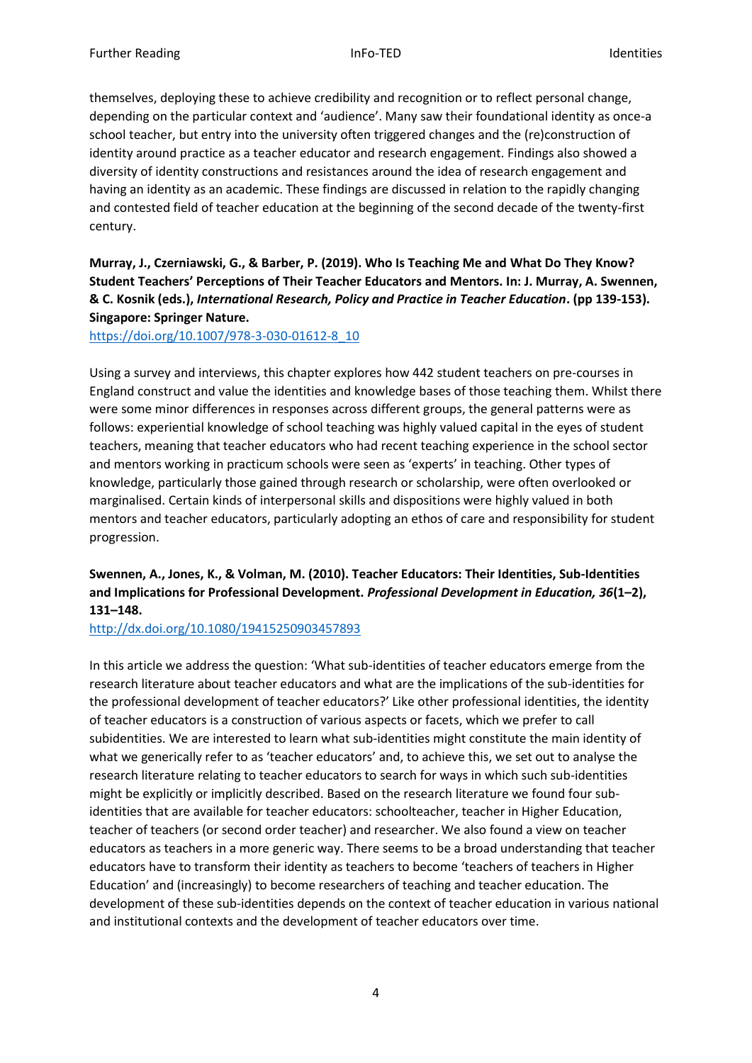themselves, deploying these to achieve credibility and recognition or to reflect personal change, depending on the particular context and 'audience'. Many saw their foundational identity as once-a school teacher, but entry into the university often triggered changes and the (re)construction of identity around practice as a teacher educator and research engagement. Findings also showed a diversity of identity constructions and resistances around the idea of research engagement and having an identity as an academic. These findings are discussed in relation to the rapidly changing and contested field of teacher education at the beginning of the second decade of the twenty-first century.

**Murray, J., Czerniawski, G., & Barber, P. (2019). Who Is Teaching Me and What Do They Know? Student Teachers' Perceptions of Their Teacher Educators and Mentors. In: J. Murray, A. Swennen, & C. Kosnik (eds.),** *International Research, Policy and Practice in Teacher Education***. (pp 139-153). Singapore: Springer Nature.**

[https://doi.org/10.1007/978-3-030-01612-8\\_10](https://doi.org/10.1007/978-3-030-01612-8_10)

Using a survey and interviews, this chapter explores how 442 student teachers on pre-courses in England construct and value the identities and knowledge bases of those teaching them. Whilst there were some minor differences in responses across different groups, the general patterns were as follows: experiential knowledge of school teaching was highly valued capital in the eyes of student teachers, meaning that teacher educators who had recent teaching experience in the school sector and mentors working in practicum schools were seen as 'experts' in teaching. Other types of knowledge, particularly those gained through research or scholarship, were often overlooked or marginalised. Certain kinds of interpersonal skills and dispositions were highly valued in both mentors and teacher educators, particularly adopting an ethos of care and responsibility for student progression.

## **Swennen, A., Jones, K., & Volman, M. (2010). Teacher Educators: Their Identities, Sub-Identities and Implications for Professional Development.** *Professional Development in Education, 36***(1–2), 131–148.**

<http://dx.doi.org/10.1080/19415250903457893>

In this article we address the question: 'What sub-identities of teacher educators emerge from the research literature about teacher educators and what are the implications of the sub-identities for the professional development of teacher educators?' Like other professional identities, the identity of teacher educators is a construction of various aspects or facets, which we prefer to call subidentities. We are interested to learn what sub-identities might constitute the main identity of what we generically refer to as 'teacher educators' and, to achieve this, we set out to analyse the research literature relating to teacher educators to search for ways in which such sub-identities might be explicitly or implicitly described. Based on the research literature we found four subidentities that are available for teacher educators: schoolteacher, teacher in Higher Education, teacher of teachers (or second order teacher) and researcher. We also found a view on teacher educators as teachers in a more generic way. There seems to be a broad understanding that teacher educators have to transform their identity as teachers to become 'teachers of teachers in Higher Education' and (increasingly) to become researchers of teaching and teacher education. The development of these sub-identities depends on the context of teacher education in various national and institutional contexts and the development of teacher educators over time.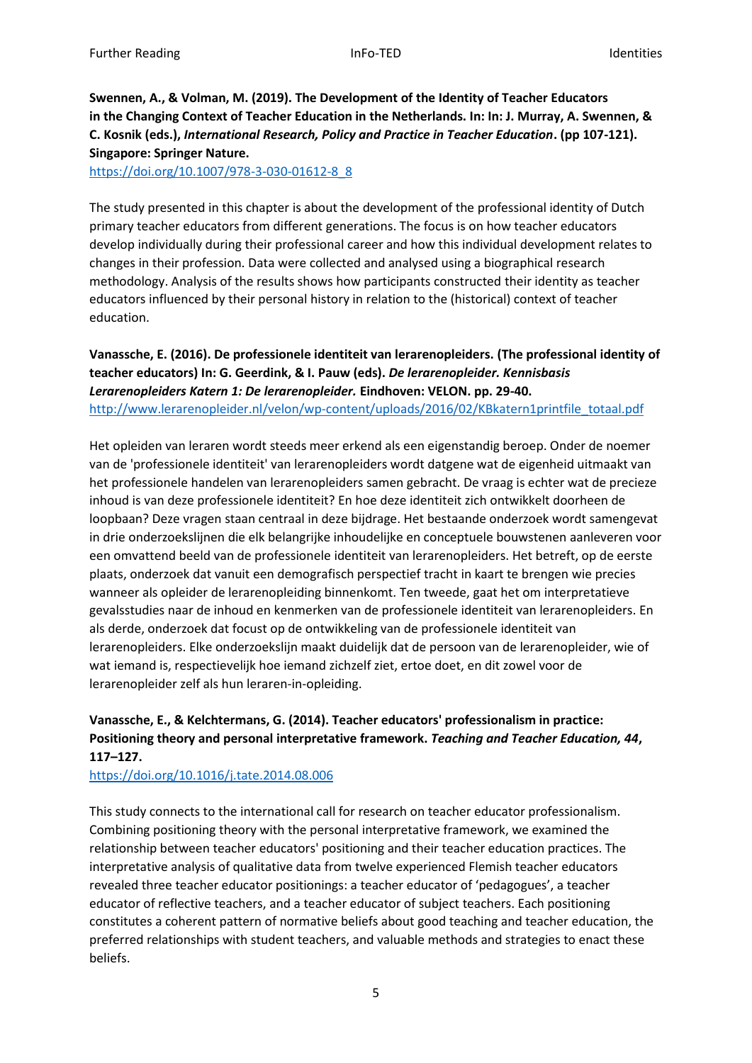**Swennen, A., & Volman, M. (2019). The Development of the Identity of Teacher Educators in the Changing Context of Teacher Education in the Netherlands. In: In: J. Murray, A. Swennen, & C. Kosnik (eds.),** *International Research, Policy and Practice in Teacher Education***. (pp 107-121). Singapore: Springer Nature.** 

[https://doi.org/10.1007/978-3-030-01612-8\\_8](https://doi.org/10.1007/978-3-030-01612-8_8)

The study presented in this chapter is about the development of the professional identity of Dutch primary teacher educators from different generations. The focus is on how teacher educators develop individually during their professional career and how this individual development relates to changes in their profession. Data were collected and analysed using a biographical research methodology. Analysis of the results shows how participants constructed their identity as teacher educators influenced by their personal history in relation to the (historical) context of teacher education.

**Vanassche, E. (2016). De professionele identiteit van lerarenopleiders. (The professional identity of teacher educators) In: G. Geerdink, & I. Pauw (eds).** *De lerarenopleider. Kennisbasis Lerarenopleiders Katern 1: De lerarenopleider.* **Eindhoven: VELON. pp. 29-40.** [http://www.lerarenopleider.nl/velon/wp-content/uploads/2016/02/KBkatern1printfile\\_totaal.pdf](http://www.lerarenopleider.nl/velon/wp-content/uploads/2016/02/KBkatern1printfile_totaal.pdf)

Het opleiden van leraren wordt steeds meer erkend als een eigenstandig beroep. Onder de noemer van de 'professionele identiteit' van lerarenopleiders wordt datgene wat de eigenheid uitmaakt van het professionele handelen van lerarenopleiders samen gebracht. De vraag is echter wat de precieze inhoud is van deze professionele identiteit? En hoe deze identiteit zich ontwikkelt doorheen de loopbaan? Deze vragen staan centraal in deze bijdrage. Het bestaande onderzoek wordt samengevat in drie onderzoekslijnen die elk belangrijke inhoudelijke en conceptuele bouwstenen aanleveren voor een omvattend beeld van de professionele identiteit van lerarenopleiders. Het betreft, op de eerste plaats, onderzoek dat vanuit een demografisch perspectief tracht in kaart te brengen wie precies wanneer als opleider de lerarenopleiding binnenkomt. Ten tweede, gaat het om interpretatieve gevalsstudies naar de inhoud en kenmerken van de professionele identiteit van lerarenopleiders. En als derde, onderzoek dat focust op de ontwikkeling van de professionele identiteit van lerarenopleiders. Elke onderzoekslijn maakt duidelijk dat de persoon van de lerarenopleider, wie of wat iemand is, respectievelijk hoe iemand zichzelf ziet, ertoe doet, en dit zowel voor de lerarenopleider zelf als hun leraren-in-opleiding.

## **Vanassche, E., & Kelchtermans, G. (2014). Teacher educators' professionalism in practice: Positioning theory and personal interpretative framework.** *Teaching and Teacher Education, 44***, 117–127.**

#### <https://doi.org/10.1016/j.tate.2014.08.006>

This study connects to the international call for research on teacher educator professionalism. Combining positioning theory with the personal interpretative framework, we examined the relationship between teacher educators' positioning and their teacher education practices. The interpretative analysis of qualitative data from twelve experienced Flemish teacher educators revealed three teacher educator positionings: a teacher educator of 'pedagogues', a teacher educator of reflective teachers, and a teacher educator of subject teachers. Each positioning constitutes a coherent pattern of normative beliefs about good teaching and teacher education, the preferred relationships with student teachers, and valuable methods and strategies to enact these beliefs.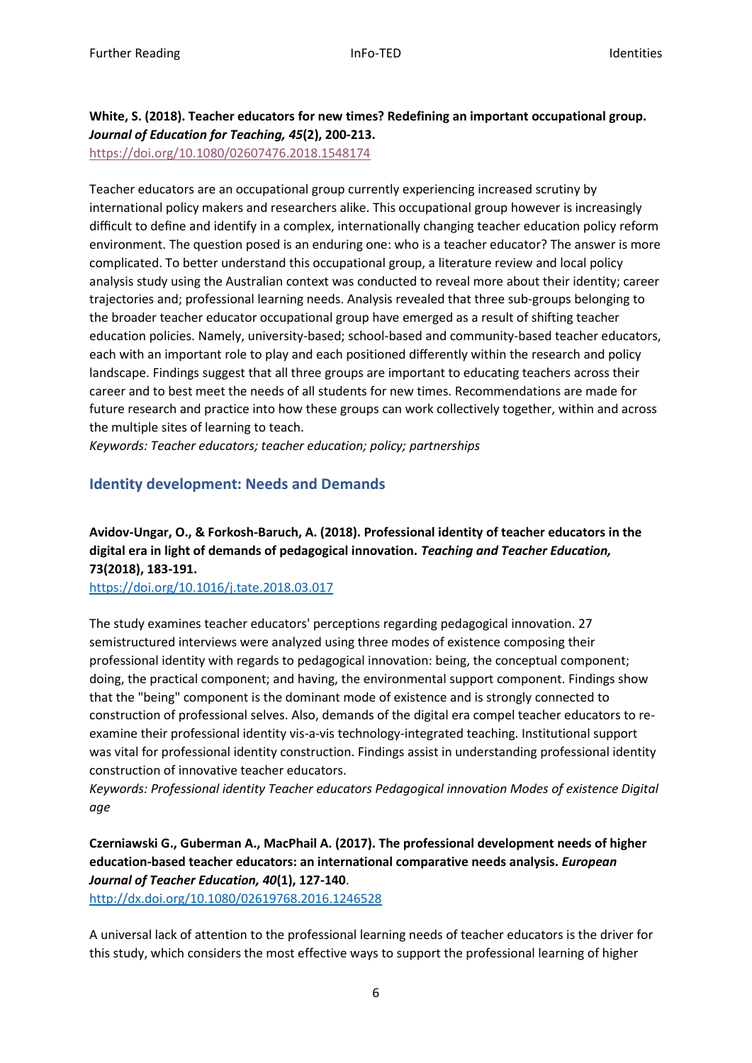## **White, S. (2018). Teacher educators for new times? Redefining an important occupational group.**  *Journal of Education for Teaching, 45***(2), 200-213.**

<https://doi.org/10.1080/02607476.2018.1548174>

Teacher educators are an occupational group currently experiencing increased scrutiny by international policy makers and researchers alike. This occupational group however is increasingly difficult to define and identify in a complex, internationally changing teacher education policy reform environment. The question posed is an enduring one: who is a teacher educator? The answer is more complicated. To better understand this occupational group, a literature review and local policy analysis study using the Australian context was conducted to reveal more about their identity; career trajectories and; professional learning needs. Analysis revealed that three sub-groups belonging to the broader teacher educator occupational group have emerged as a result of shifting teacher education policies. Namely, university-based; school-based and community-based teacher educators, each with an important role to play and each positioned differently within the research and policy landscape. Findings suggest that all three groups are important to educating teachers across their career and to best meet the needs of all students for new times. Recommendations are made for future research and practice into how these groups can work collectively together, within and across the multiple sites of learning to teach.

*Keywords: Teacher educators; teacher education; policy; partnerships*

## <span id="page-5-0"></span>**Identity development: Needs and Demands**

**Avidov-Ungar, O., & Forkosh-Baruch, A. (2018). Professional identity of teacher educators in the digital era in light of demands of pedagogical innovation.** *Teaching and Teacher Education,*  **73(2018), 183-191.**

<https://doi.org/10.1016/j.tate.2018.03.017>

The study examines teacher educators' perceptions regarding pedagogical innovation. 27 semistructured interviews were analyzed using three modes of existence composing their professional identity with regards to pedagogical innovation: being, the conceptual component; doing, the practical component; and having, the environmental support component. Findings show that the "being" component is the dominant mode of existence and is strongly connected to construction of professional selves. Also, demands of the digital era compel teacher educators to reexamine their professional identity vis-a-vis technology-integrated teaching. Institutional support was vital for professional identity construction. Findings assist in understanding professional identity construction of innovative teacher educators.

*Keywords: Professional identity Teacher educators Pedagogical innovation Modes of existence Digital age*

**Czerniawski G., Guberman A., MacPhail A. (2017). The professional development needs of higher education-based teacher educators: an international comparative needs analysis.** *European Journal of Teacher Education, 40***(1), 127-140**.

<http://dx.doi.org/10.1080/02619768.2016.1246528>

A universal lack of attention to the professional learning needs of teacher educators is the driver for this study, which considers the most effective ways to support the professional learning of higher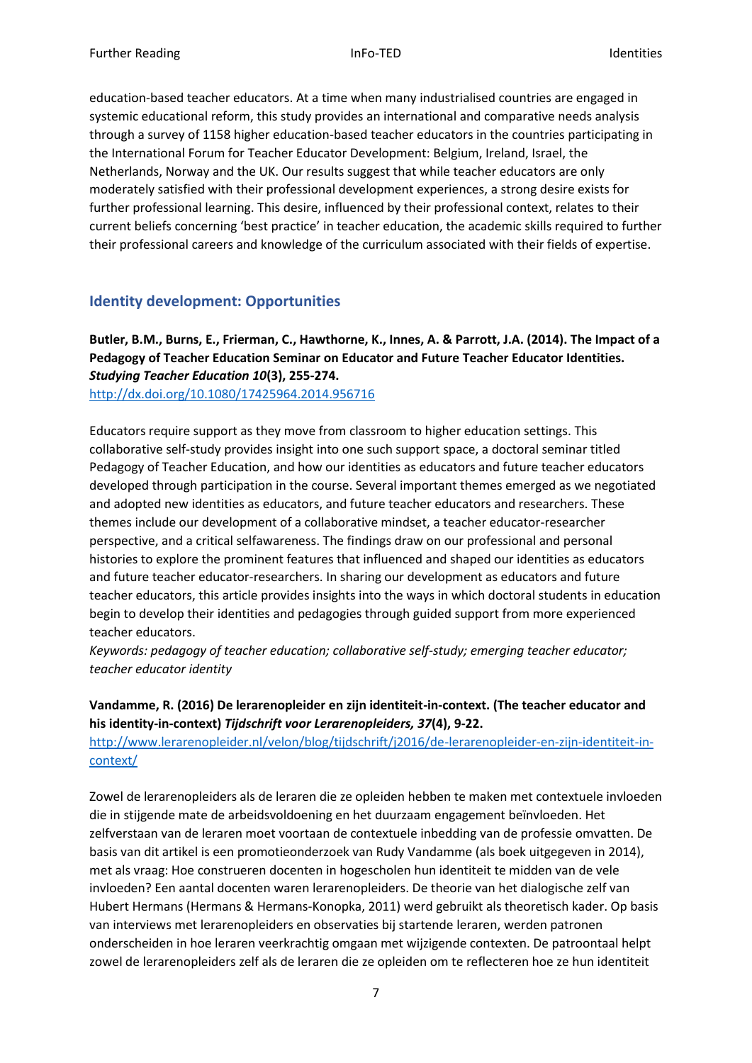education-based teacher educators. At a time when many industrialised countries are engaged in systemic educational reform, this study provides an international and comparative needs analysis through a survey of 1158 higher education-based teacher educators in the countries participating in the International Forum for Teacher Educator Development: Belgium, Ireland, Israel, the Netherlands, Norway and the UK. Our results suggest that while teacher educators are only moderately satisfied with their professional development experiences, a strong desire exists for further professional learning. This desire, influenced by their professional context, relates to their current beliefs concerning 'best practice' in teacher education, the academic skills required to further their professional careers and knowledge of the curriculum associated with their fields of expertise.

## <span id="page-6-0"></span>**Identity development: Opportunities**

**Butler, B.M., Burns, E., Frierman, C., Hawthorne, K., Innes, A. & Parrott, J.A. (2014). The Impact of a Pedagogy of Teacher Education Seminar on Educator and Future Teacher Educator Identities.**  *Studying Teacher Education 10***(3), 255-274.**

<http://dx.doi.org/10.1080/17425964.2014.956716>

Educators require support as they move from classroom to higher education settings. This collaborative self-study provides insight into one such support space, a doctoral seminar titled Pedagogy of Teacher Education, and how our identities as educators and future teacher educators developed through participation in the course. Several important themes emerged as we negotiated and adopted new identities as educators, and future teacher educators and researchers. These themes include our development of a collaborative mindset, a teacher educator-researcher perspective, and a critical selfawareness. The findings draw on our professional and personal histories to explore the prominent features that influenced and shaped our identities as educators and future teacher educator-researchers. In sharing our development as educators and future teacher educators, this article provides insights into the ways in which doctoral students in education begin to develop their identities and pedagogies through guided support from more experienced teacher educators.

*Keywords: pedagogy of teacher education; collaborative self-study; emerging teacher educator; teacher educator identity*

**Vandamme, R. (2016) De lerarenopleider en zijn identiteit-in-context. (The teacher educator and his identity-in-context)** *Tijdschrift voor Lerarenopleiders, 37***(4), 9-22.**

[http://www.lerarenopleider.nl/velon/blog/tijdschrift/j2016/de-lerarenopleider-en-zijn-identiteit-in](http://www.lerarenopleider.nl/velon/blog/tijdschrift/j2016/de-lerarenopleider-en-zijn-identiteit-in-context/)[context/](http://www.lerarenopleider.nl/velon/blog/tijdschrift/j2016/de-lerarenopleider-en-zijn-identiteit-in-context/)

Zowel de lerarenopleiders als de leraren die ze opleiden hebben te maken met contextuele invloeden die in stijgende mate de arbeidsvoldoening en het duurzaam engagement beïnvloeden. Het zelfverstaan van de leraren moet voortaan de contextuele inbedding van de professie omvatten. De basis van dit artikel is een promotieonderzoek van Rudy Vandamme (als boek uitgegeven in 2014), met als vraag: Hoe construeren docenten in hogescholen hun identiteit te midden van de vele invloeden? Een aantal docenten waren lerarenopleiders. De theorie van het dialogische zelf van Hubert Hermans (Hermans & Hermans-Konopka, 2011) werd gebruikt als theoretisch kader. Op basis van interviews met lerarenopleiders en observaties bij startende leraren, werden patronen onderscheiden in hoe leraren veerkrachtig omgaan met wijzigende contexten. De patroontaal helpt zowel de lerarenopleiders zelf als de leraren die ze opleiden om te reflecteren hoe ze hun identiteit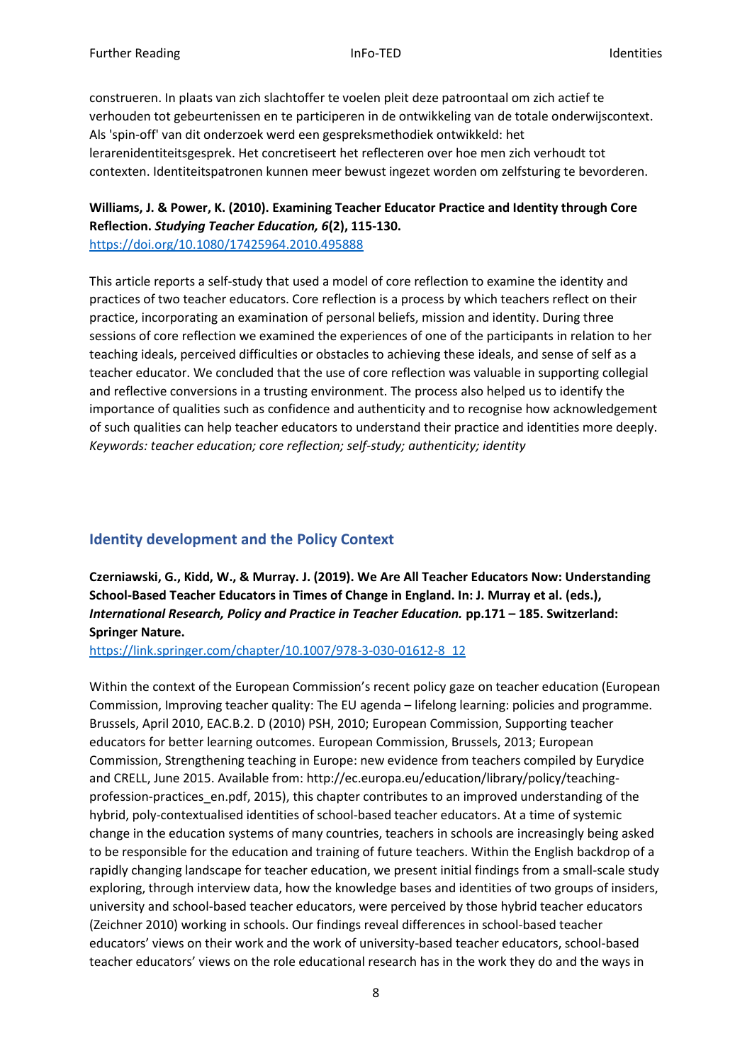construeren. In plaats van zich slachtoffer te voelen pleit deze patroontaal om zich actief te verhouden tot gebeurtenissen en te participeren in de ontwikkeling van de totale onderwijscontext. Als 'spin-off' van dit onderzoek werd een gespreksmethodiek ontwikkeld: het lerarenidentiteitsgesprek. Het concretiseert het reflecteren over hoe men zich verhoudt tot contexten. Identiteitspatronen kunnen meer bewust ingezet worden om zelfsturing te bevorderen.

## **Williams, J. & Power, K. (2010). Examining Teacher Educator Practice and Identity through Core Reflection.** *Studying Teacher Education, 6***(2), 115-130.**

<https://doi.org/10.1080/17425964.2010.495888>

This article reports a self-study that used a model of core reflection to examine the identity and practices of two teacher educators. Core reflection is a process by which teachers reflect on their practice, incorporating an examination of personal beliefs, mission and identity. During three sessions of core reflection we examined the experiences of one of the participants in relation to her teaching ideals, perceived difficulties or obstacles to achieving these ideals, and sense of self as a teacher educator. We concluded that the use of core reflection was valuable in supporting collegial and reflective conversions in a trusting environment. The process also helped us to identify the importance of qualities such as confidence and authenticity and to recognise how acknowledgement of such qualities can help teacher educators to understand their practice and identities more deeply. *Keywords: teacher education; core reflection; self-study; authenticity; identity*

#### <span id="page-7-0"></span>**Identity development and the Policy Context**

**Czerniawski, G., Kidd, W., & Murray. J. (2019). We Are All Teacher Educators Now: Understanding School-Based Teacher Educators in Times of Change in England. In: J. Murray et al. (eds.),**  *International Research, Policy and Practice in Teacher Education.* **pp.171 – 185. Switzerland: Springer Nature.**

[https://link.springer.com/chapter/10.1007/978-3-030-01612-8\\_12](https://link.springer.com/chapter/10.1007/978-3-030-01612-8_12)

Within the context of the European Commission's recent policy gaze on teacher education (European Commission, Improving teacher quality: The EU agenda – lifelong learning: policies and programme. Brussels, April 2010, EAC.B.2. D (2010) PSH, 2010; European Commission, Supporting teacher educators for better learning outcomes. European Commission, Brussels, 2013; European Commission, Strengthening teaching in Europe: new evidence from teachers compiled by Eurydice and CRELL, June 2015. Available from: http://ec.europa.eu/education/library/policy/teachingprofession-practices\_en.pdf, 2015), this chapter contributes to an improved understanding of the hybrid, poly-contextualised identities of school-based teacher educators. At a time of systemic change in the education systems of many countries, teachers in schools are increasingly being asked to be responsible for the education and training of future teachers. Within the English backdrop of a rapidly changing landscape for teacher education, we present initial findings from a small-scale study exploring, through interview data, how the knowledge bases and identities of two groups of insiders, university and school-based teacher educators, were perceived by those hybrid teacher educators (Zeichner 2010) working in schools. Our findings reveal differences in school-based teacher educators' views on their work and the work of university-based teacher educators, school-based teacher educators' views on the role educational research has in the work they do and the ways in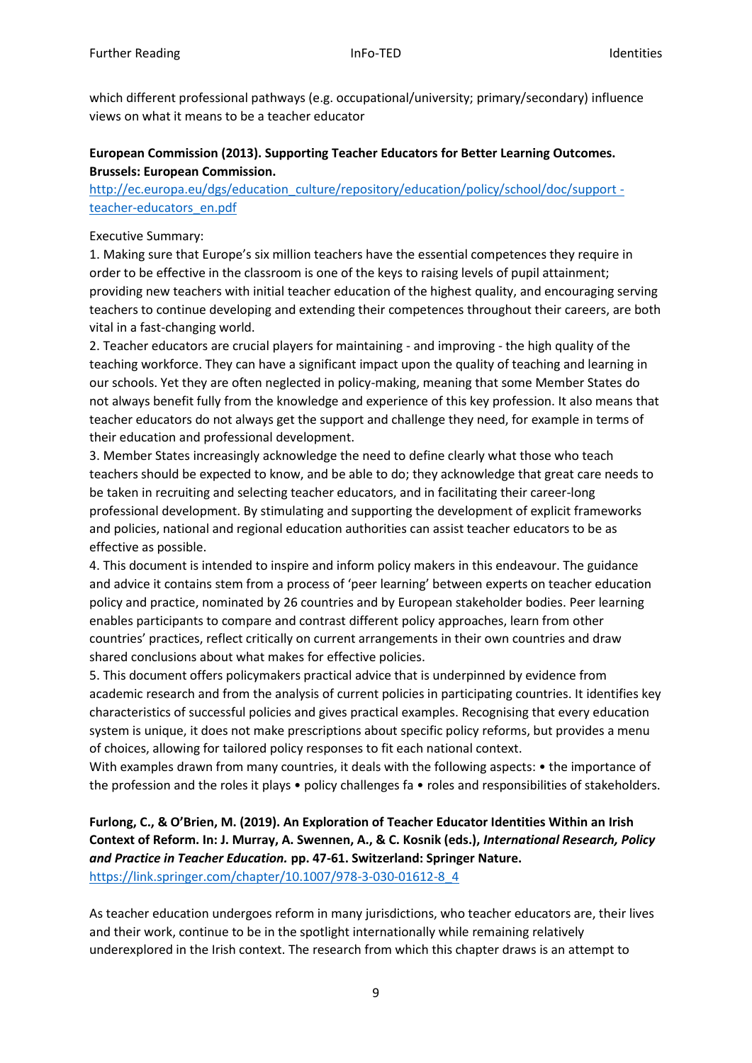which different professional pathways (e.g. occupational/university; primary/secondary) influence views on what it means to be a teacher educator

## **European Commission (2013). Supporting Teacher Educators for Better Learning Outcomes. Brussels: European Commission.**

[http://ec.europa.eu/dgs/education\\_culture/repository/education/policy/school/doc/support](http://ec.europa.eu/dgs/education_culture/repository/education/policy/school/doc/support%20-teacher-educators_en.pdf)  [teacher-educators\\_en.pdf](http://ec.europa.eu/dgs/education_culture/repository/education/policy/school/doc/support%20-teacher-educators_en.pdf)

#### Executive Summary:

1. Making sure that Europe's six million teachers have the essential competences they require in order to be effective in the classroom is one of the keys to raising levels of pupil attainment; providing new teachers with initial teacher education of the highest quality, and encouraging serving teachers to continue developing and extending their competences throughout their careers, are both vital in a fast-changing world.

2. Teacher educators are crucial players for maintaining - and improving - the high quality of the teaching workforce. They can have a significant impact upon the quality of teaching and learning in our schools. Yet they are often neglected in policy-making, meaning that some Member States do not always benefit fully from the knowledge and experience of this key profession. It also means that teacher educators do not always get the support and challenge they need, for example in terms of their education and professional development.

3. Member States increasingly acknowledge the need to define clearly what those who teach teachers should be expected to know, and be able to do; they acknowledge that great care needs to be taken in recruiting and selecting teacher educators, and in facilitating their career-long professional development. By stimulating and supporting the development of explicit frameworks and policies, national and regional education authorities can assist teacher educators to be as effective as possible.

4. This document is intended to inspire and inform policy makers in this endeavour. The guidance and advice it contains stem from a process of 'peer learning' between experts on teacher education policy and practice, nominated by 26 countries and by European stakeholder bodies. Peer learning enables participants to compare and contrast different policy approaches, learn from other countries' practices, reflect critically on current arrangements in their own countries and draw shared conclusions about what makes for effective policies.

5. This document offers policymakers practical advice that is underpinned by evidence from academic research and from the analysis of current policies in participating countries. It identifies key characteristics of successful policies and gives practical examples. Recognising that every education system is unique, it does not make prescriptions about specific policy reforms, but provides a menu of choices, allowing for tailored policy responses to fit each national context.

With examples drawn from many countries, it deals with the following aspects: • the importance of the profession and the roles it plays • policy challenges fa • roles and responsibilities of stakeholders.

**Furlong, C., & O'Brien, M. (2019). An Exploration of Teacher Educator Identities Within an Irish Context of Reform. In: J. Murray, A. Swennen, A., & C. Kosnik (eds.),** *International Research, Policy and Practice in Teacher Education.* **pp. 47-61. Switzerland: Springer Nature.** [https://link.springer.com/chapter/10.1007/978-3-030-01612-8\\_4](https://link.springer.com/chapter/10.1007/978-3-030-01612-8_4)

As teacher education undergoes reform in many jurisdictions, who teacher educators are, their lives and their work, continue to be in the spotlight internationally while remaining relatively underexplored in the Irish context. The research from which this chapter draws is an attempt to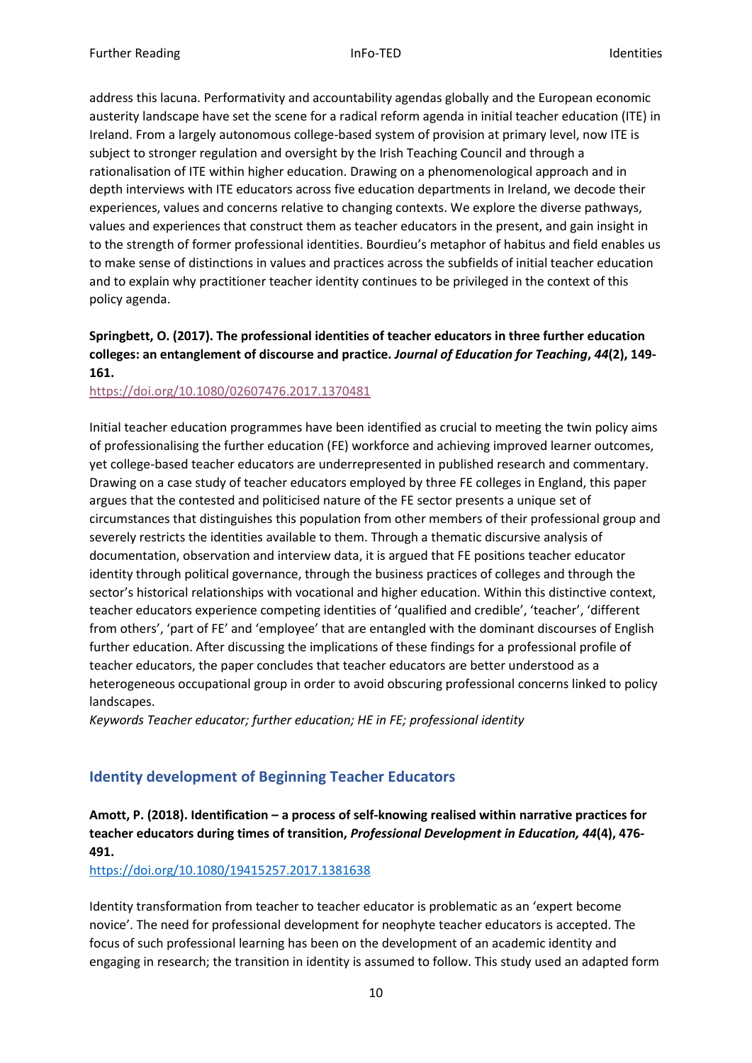address this lacuna. Performativity and accountability agendas globally and the European economic austerity landscape have set the scene for a radical reform agenda in initial teacher education (ITE) in Ireland. From a largely autonomous college-based system of provision at primary level, now ITE is subject to stronger regulation and oversight by the Irish Teaching Council and through a rationalisation of ITE within higher education. Drawing on a phenomenological approach and in depth interviews with ITE educators across five education departments in Ireland, we decode their experiences, values and concerns relative to changing contexts. We explore the diverse pathways, values and experiences that construct them as teacher educators in the present, and gain insight in to the strength of former professional identities. Bourdieu's metaphor of habitus and field enables us to make sense of distinctions in values and practices across the subfields of initial teacher education and to explain why practitioner teacher identity continues to be privileged in the context of this policy agenda.

## **Springbett, O. (2017). The professional identities of teacher educators in three further education colleges: an entanglement of discourse and practice.** *Journal of Education for Teaching***,** *44***(2), 149- 161.**

#### <https://doi.org/10.1080/02607476.2017.1370481>

Initial teacher education programmes have been identified as crucial to meeting the twin policy aims of professionalising the further education (FE) workforce and achieving improved learner outcomes, yet college-based teacher educators are underrepresented in published research and commentary. Drawing on a case study of teacher educators employed by three FE colleges in England, this paper argues that the contested and politicised nature of the FE sector presents a unique set of circumstances that distinguishes this population from other members of their professional group and severely restricts the identities available to them. Through a thematic discursive analysis of documentation, observation and interview data, it is argued that FE positions teacher educator identity through political governance, through the business practices of colleges and through the sector's historical relationships with vocational and higher education. Within this distinctive context, teacher educators experience competing identities of 'qualified and credible', 'teacher', 'different from others', 'part of FE' and 'employee' that are entangled with the dominant discourses of English further education. After discussing the implications of these findings for a professional profile of teacher educators, the paper concludes that teacher educators are better understood as a heterogeneous occupational group in order to avoid obscuring professional concerns linked to policy landscapes.

*Keywords Teacher educator; further education; HE in FE; professional identity*

#### <span id="page-9-0"></span>**Identity development of Beginning Teacher Educators**

**Amott, P. (2018). Identification – a process of self-knowing realised within narrative practices for teacher educators during times of transition,** *Professional Development in Education, 44***(4), 476- 491.** 

<https://doi.org/10.1080/19415257.2017.1381638>

Identity transformation from teacher to teacher educator is problematic as an 'expert become novice'. The need for professional development for neophyte teacher educators is accepted. The focus of such professional learning has been on the development of an academic identity and engaging in research; the transition in identity is assumed to follow. This study used an adapted form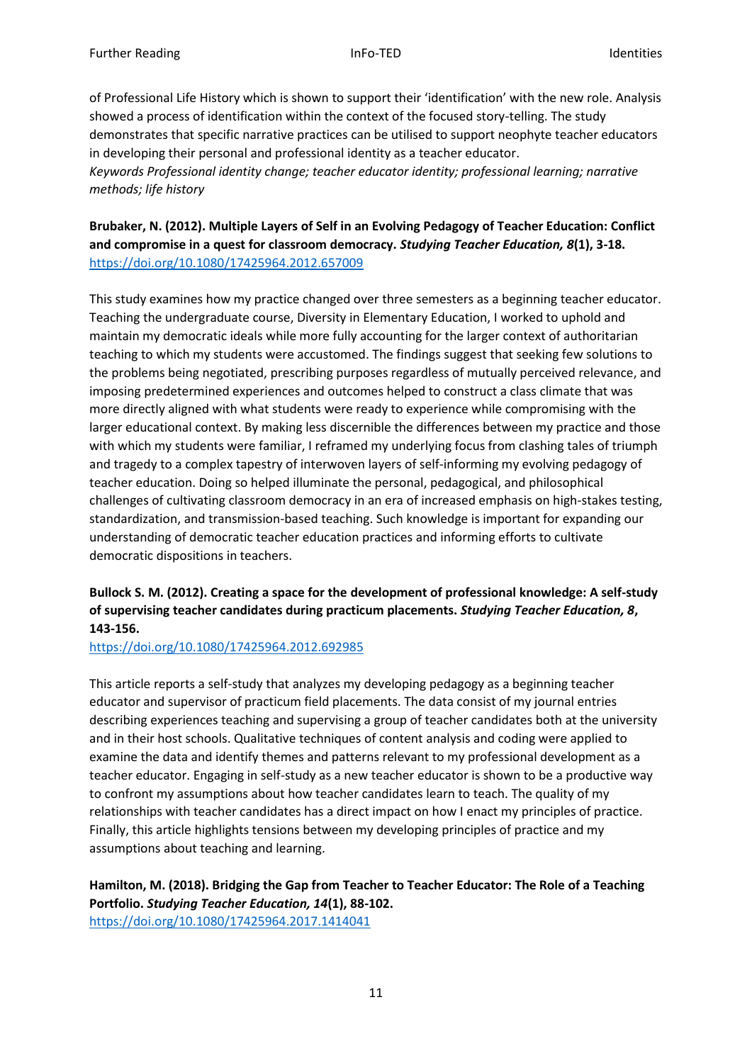of Professional Life History which is shown to support their 'identification' with the new role. Analysis showed a process of identification within the context of the focused story-telling. The study demonstrates that specific narrative practices can be utilised to support neophyte teacher educators in developing their personal and professional identity as a teacher educator. *Keywords Professional identity change; teacher educator identity; professional learning; narrative methods; life history*

## **Brubaker, N. (2012). Multiple Layers of Self in an Evolving Pedagogy of Teacher Education: Conflict and compromise in a quest for classroom democracy.** *Studying Teacher Education, 8***(1), 3-18.**  <https://doi.org/10.1080/17425964.2012.657009>

This study examines how my practice changed over three semesters as a beginning teacher educator. Teaching the undergraduate course, Diversity in Elementary Education, I worked to uphold and maintain my democratic ideals while more fully accounting for the larger context of authoritarian teaching to which my students were accustomed. The findings suggest that seeking few solutions to the problems being negotiated, prescribing purposes regardless of mutually perceived relevance, and imposing predetermined experiences and outcomes helped to construct a class climate that was more directly aligned with what students were ready to experience while compromising with the larger educational context. By making less discernible the differences between my practice and those with which my students were familiar, I reframed my underlying focus from clashing tales of triumph and tragedy to a complex tapestry of interwoven layers of self-informing my evolving pedagogy of teacher education. Doing so helped illuminate the personal, pedagogical, and philosophical challenges of cultivating classroom democracy in an era of increased emphasis on high-stakes testing, standardization, and transmission-based teaching. Such knowledge is important for expanding our understanding of democratic teacher education practices and informing efforts to cultivate democratic dispositions in teachers.

## **Bullock S. M. (2012). Creating a space for the development of professional knowledge: A self-study of supervising teacher candidates during practicum placements.** *Studying Teacher Education, 8***, 143-156.**

#### <https://doi.org/10.1080/17425964.2012.692985>

This article reports a self-study that analyzes my developing pedagogy as a beginning teacher educator and supervisor of practicum field placements. The data consist of my journal entries describing experiences teaching and supervising a group of teacher candidates both at the university and in their host schools. Qualitative techniques of content analysis and coding were applied to examine the data and identify themes and patterns relevant to my professional development as a teacher educator. Engaging in self-study as a new teacher educator is shown to be a productive way to confront my assumptions about how teacher candidates learn to teach. The quality of my relationships with teacher candidates has a direct impact on how I enact my principles of practice. Finally, this article highlights tensions between my developing principles of practice and my assumptions about teaching and learning.

#### **Hamilton, M. (2018). Bridging the Gap from Teacher to Teacher Educator: The Role of a Teaching Portfolio.** *Studying Teacher Education, 14***(1), 88-102.**  <https://doi.org/10.1080/17425964.2017.1414041>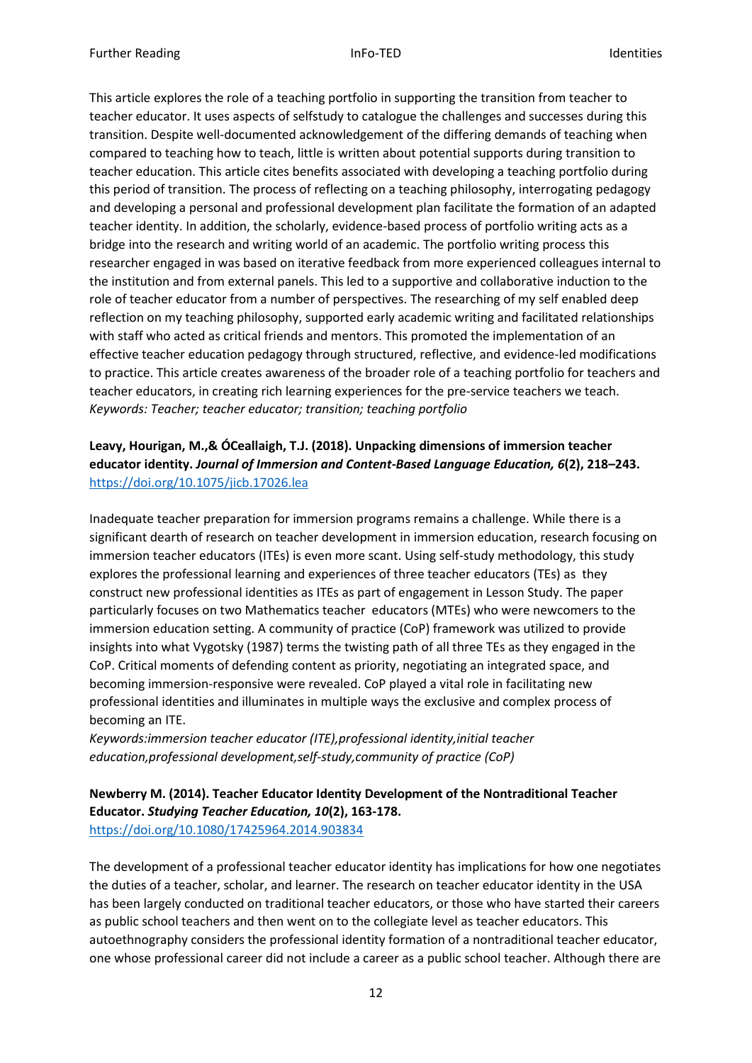This article explores the role of a teaching portfolio in supporting the transition from teacher to teacher educator. It uses aspects of selfstudy to catalogue the challenges and successes during this transition. Despite well-documented acknowledgement of the differing demands of teaching when compared to teaching how to teach, little is written about potential supports during transition to teacher education. This article cites benefits associated with developing a teaching portfolio during this period of transition. The process of reflecting on a teaching philosophy, interrogating pedagogy and developing a personal and professional development plan facilitate the formation of an adapted teacher identity. In addition, the scholarly, evidence-based process of portfolio writing acts as a bridge into the research and writing world of an academic. The portfolio writing process this researcher engaged in was based on iterative feedback from more experienced colleagues internal to the institution and from external panels. This led to a supportive and collaborative induction to the role of teacher educator from a number of perspectives. The researching of my self enabled deep reflection on my teaching philosophy, supported early academic writing and facilitated relationships with staff who acted as critical friends and mentors. This promoted the implementation of an effective teacher education pedagogy through structured, reflective, and evidence-led modifications to practice. This article creates awareness of the broader role of a teaching portfolio for teachers and teacher educators, in creating rich learning experiences for the pre-service teachers we teach. *Keywords: Teacher; teacher educator; transition; teaching portfolio*

## **Leavy, Hourigan, M.,& ÓCeallaigh, T.J. (2018). Unpacking dimensions of immersion teacher educator identity.** *Journal of Immersion and Content-Based Language Education, 6***(2), 218–243.**  <https://doi.org/10.1075/jicb.17026.lea>

Inadequate teacher preparation for immersion programs remains a challenge. While there is a significant dearth of research on teacher development in immersion education, research focusing on immersion teacher educators (ITEs) is even more scant. Using self-study methodology, this study explores the professional learning and experiences of three teacher educators (TEs) as they construct new professional identities as ITEs as part of engagement in Lesson Study. The paper particularly focuses on two Mathematics teacher educators (MTEs) who were newcomers to the immersion education setting. A community of practice (CoP) framework was utilized to provide insights into what Vygotsky (1987) terms the twisting path of all three TEs as they engaged in the CoP. Critical moments of defending content as priority, negotiating an integrated space, and becoming immersion-responsive were revealed. CoP played a vital role in facilitating new professional identities and illuminates in multiple ways the exclusive and complex process of becoming an ITE.

*Keywords:immersion teacher educator (ITE),professional identity,initial teacher education,professional development,self-study,community of practice (CoP)*

#### **Newberry M. (2014). Teacher Educator Identity Development of the Nontraditional Teacher Educator.** *Studying Teacher Education, 10***(2), 163-178.**  <https://doi.org/10.1080/17425964.2014.903834>

The development of a professional teacher educator identity has implications for how one negotiates the duties of a teacher, scholar, and learner. The research on teacher educator identity in the USA has been largely conducted on traditional teacher educators, or those who have started their careers as public school teachers and then went on to the collegiate level as teacher educators. This autoethnography considers the professional identity formation of a nontraditional teacher educator, one whose professional career did not include a career as a public school teacher. Although there are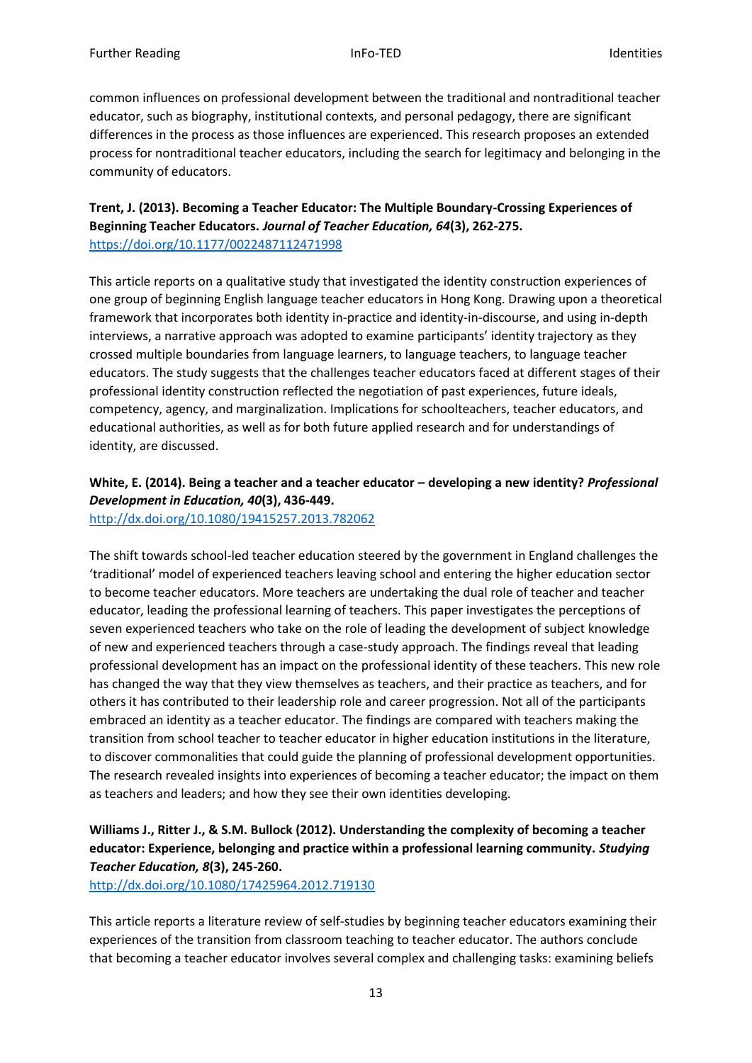common influences on professional development between the traditional and nontraditional teacher educator, such as biography, institutional contexts, and personal pedagogy, there are significant differences in the process as those influences are experienced. This research proposes an extended process for nontraditional teacher educators, including the search for legitimacy and belonging in the community of educators.

## **Trent, J. (2013). Becoming a Teacher Educator: The Multiple Boundary-Crossing Experiences of Beginning Teacher Educators.** *Journal of Teacher Education, 64***(3), 262-275.**  <https://doi.org/10.1177/0022487112471998>

This article reports on a qualitative study that investigated the identity construction experiences of one group of beginning English language teacher educators in Hong Kong. Drawing upon a theoretical framework that incorporates both identity in-practice and identity-in-discourse, and using in-depth interviews, a narrative approach was adopted to examine participants' identity trajectory as they crossed multiple boundaries from language learners, to language teachers, to language teacher educators. The study suggests that the challenges teacher educators faced at different stages of their professional identity construction reflected the negotiation of past experiences, future ideals, competency, agency, and marginalization. Implications for schoolteachers, teacher educators, and educational authorities, as well as for both future applied research and for understandings of identity, are discussed.

## **White, E. (2014). Being a teacher and a teacher educator – developing a new identity?** *Professional Development in Education, 40***(3), 436-449.**

<http://dx.doi.org/10.1080/19415257.2013.782062>

The shift towards school-led teacher education steered by the government in England challenges the 'traditional' model of experienced teachers leaving school and entering the higher education sector to become teacher educators. More teachers are undertaking the dual role of teacher and teacher educator, leading the professional learning of teachers. This paper investigates the perceptions of seven experienced teachers who take on the role of leading the development of subject knowledge of new and experienced teachers through a case-study approach. The findings reveal that leading professional development has an impact on the professional identity of these teachers. This new role has changed the way that they view themselves as teachers, and their practice as teachers, and for others it has contributed to their leadership role and career progression. Not all of the participants embraced an identity as a teacher educator. The findings are compared with teachers making the transition from school teacher to teacher educator in higher education institutions in the literature, to discover commonalities that could guide the planning of professional development opportunities. The research revealed insights into experiences of becoming a teacher educator; the impact on them as teachers and leaders; and how they see their own identities developing.

## **Williams J., Ritter J., & S.M. Bullock (2012). Understanding the complexity of becoming a teacher educator: Experience, belonging and practice within a professional learning community.** *Studying Teacher Education, 8***(3), 245-260.**

<http://dx.doi.org/10.1080/17425964.2012.719130>

This article reports a literature review of self-studies by beginning teacher educators examining their experiences of the transition from classroom teaching to teacher educator. The authors conclude that becoming a teacher educator involves several complex and challenging tasks: examining beliefs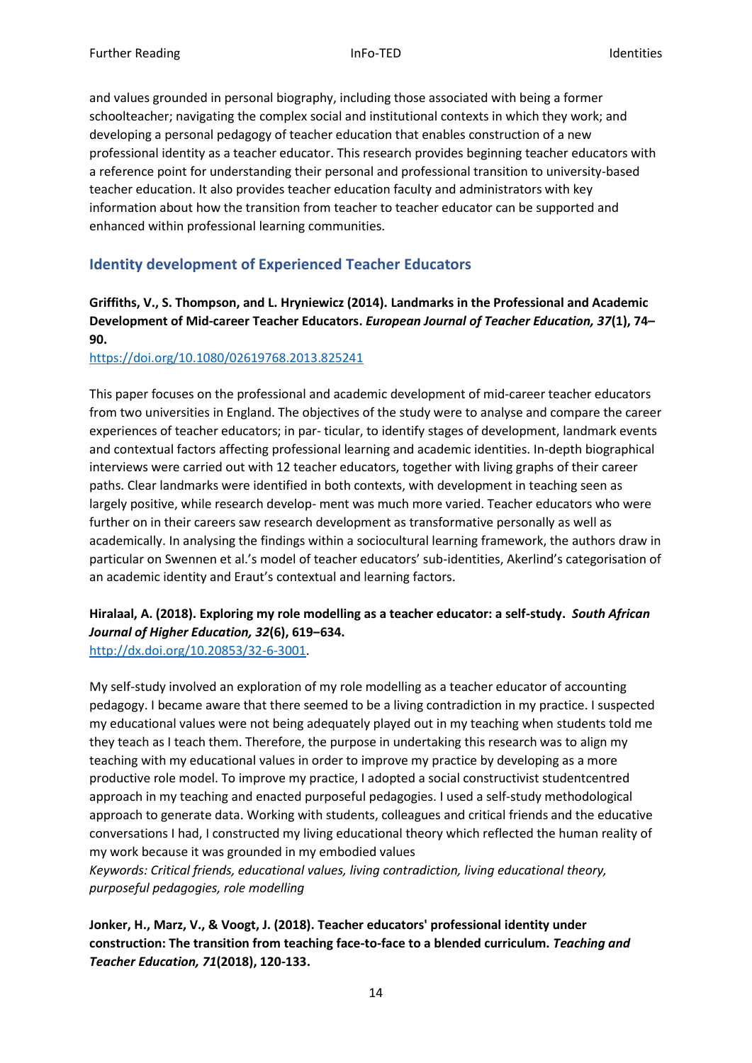and values grounded in personal biography, including those associated with being a former schoolteacher; navigating the complex social and institutional contexts in which they work; and developing a personal pedagogy of teacher education that enables construction of a new professional identity as a teacher educator. This research provides beginning teacher educators with a reference point for understanding their personal and professional transition to university-based teacher education. It also provides teacher education faculty and administrators with key information about how the transition from teacher to teacher educator can be supported and enhanced within professional learning communities.

## <span id="page-13-0"></span>**Identity development of Experienced Teacher Educators**

## **Griffiths, V., S. Thompson, and L. Hryniewicz (2014). Landmarks in the Professional and Academic Development of Mid-career Teacher Educators.** *European Journal of Teacher Education, 37***(1), 74– 90.**

#### <https://doi.org/10.1080/02619768.2013.825241>

This paper focuses on the professional and academic development of mid-career teacher educators from two universities in England. The objectives of the study were to analyse and compare the career experiences of teacher educators; in par- ticular, to identify stages of development, landmark events and contextual factors affecting professional learning and academic identities. In-depth biographical interviews were carried out with 12 teacher educators, together with living graphs of their career paths. Clear landmarks were identified in both contexts, with development in teaching seen as largely positive, while research develop- ment was much more varied. Teacher educators who were further on in their careers saw research development as transformative personally as well as academically. In analysing the findings within a sociocultural learning framework, the authors draw in particular on Swennen et al.'s model of teacher educators' sub-identities, Akerlind's categorisation of an academic identity and Eraut's contextual and learning factors.

## **Hiralaal, A. (2018). Exploring my role modelling as a teacher educator: a self-study.** *South African Journal of Higher Education, 32***(6), 619‒634.**

[http://dx.doi.org/10.20853/32-6-3001.](http://dx.doi.org/10.20853/32-6-3001)

My self-study involved an exploration of my role modelling as a teacher educator of accounting pedagogy. I became aware that there seemed to be a living contradiction in my practice. I suspected my educational values were not being adequately played out in my teaching when students told me they teach as I teach them. Therefore, the purpose in undertaking this research was to align my teaching with my educational values in order to improve my practice by developing as a more productive role model. To improve my practice, I adopted a social constructivist studentcentred approach in my teaching and enacted purposeful pedagogies. I used a self-study methodological approach to generate data. Working with students, colleagues and critical friends and the educative conversations I had, I constructed my living educational theory which reflected the human reality of my work because it was grounded in my embodied values

*Keywords: Critical friends, educational values, living contradiction, living educational theory, purposeful pedagogies, role modelling*

**Jonker, H., Marz, V., & Voogt, J. (2018). Teacher educators' professional identity under construction: The transition from teaching face-to-face to a blended curriculum.** *Teaching and Teacher Education, 71***(2018), 120-133.**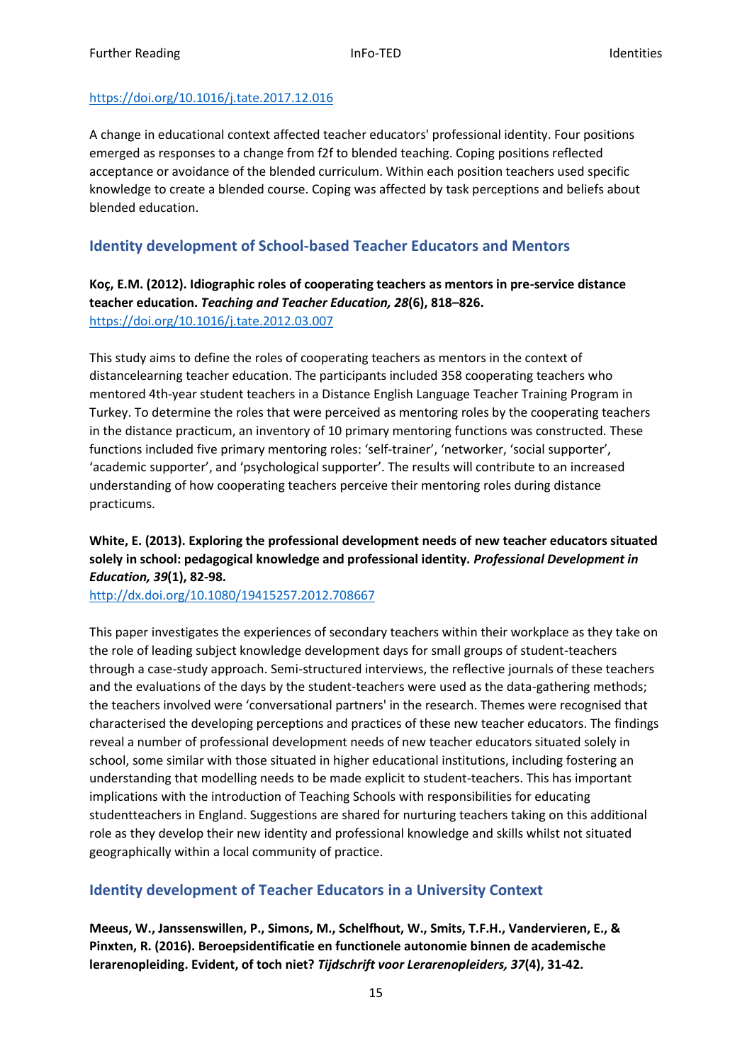#### <https://doi.org/10.1016/j.tate.2017.12.016>

A change in educational context affected teacher educators' professional identity. Four positions emerged as responses to a change from f2f to blended teaching. Coping positions reflected acceptance or avoidance of the blended curriculum. Within each position teachers used specific knowledge to create a blended course. Coping was affected by task perceptions and beliefs about blended education.

## <span id="page-14-0"></span>**Identity development of School-based Teacher Educators and Mentors**

**Koç, E.M. (2012). Idiographic roles of cooperating teachers as mentors in pre-service distance teacher education.** *Teaching and Teacher Education, 28***(6), 818–826.**  <https://doi.org/10.1016/j.tate.2012.03.007>

This study aims to define the roles of cooperating teachers as mentors in the context of distancelearning teacher education. The participants included 358 cooperating teachers who mentored 4th-year student teachers in a Distance English Language Teacher Training Program in Turkey. To determine the roles that were perceived as mentoring roles by the cooperating teachers in the distance practicum, an inventory of 10 primary mentoring functions was constructed. These functions included five primary mentoring roles: 'self-trainer', 'networker, 'social supporter', 'academic supporter', and 'psychological supporter'. The results will contribute to an increased understanding of how cooperating teachers perceive their mentoring roles during distance practicums.

## **White, E. (2013). Exploring the professional development needs of new teacher educators situated solely in school: pedagogical knowledge and professional identity.** *Professional Development in Education, 39***(1), 82-98.**

<http://dx.doi.org/10.1080/19415257.2012.708667>

This paper investigates the experiences of secondary teachers within their workplace as they take on the role of leading subject knowledge development days for small groups of student-teachers through a case-study approach. Semi-structured interviews, the reflective journals of these teachers and the evaluations of the days by the student-teachers were used as the data-gathering methods; the teachers involved were 'conversational partners' in the research. Themes were recognised that characterised the developing perceptions and practices of these new teacher educators. The findings reveal a number of professional development needs of new teacher educators situated solely in school, some similar with those situated in higher educational institutions, including fostering an understanding that modelling needs to be made explicit to student-teachers. This has important implications with the introduction of Teaching Schools with responsibilities for educating studentteachers in England. Suggestions are shared for nurturing teachers taking on this additional role as they develop their new identity and professional knowledge and skills whilst not situated geographically within a local community of practice.

## <span id="page-14-1"></span>**Identity development of Teacher Educators in a University Context**

**Meeus, W., Janssenswillen, P., Simons, M., Schelfhout, W., Smits, T.F.H., Vandervieren, E., & Pinxten, R. (2016). Beroepsidentificatie en functionele autonomie binnen de academische lerarenopleiding. Evident, of toch niet?** *Tijdschrift voor Lerarenopleiders, 37***(4), 31-42.**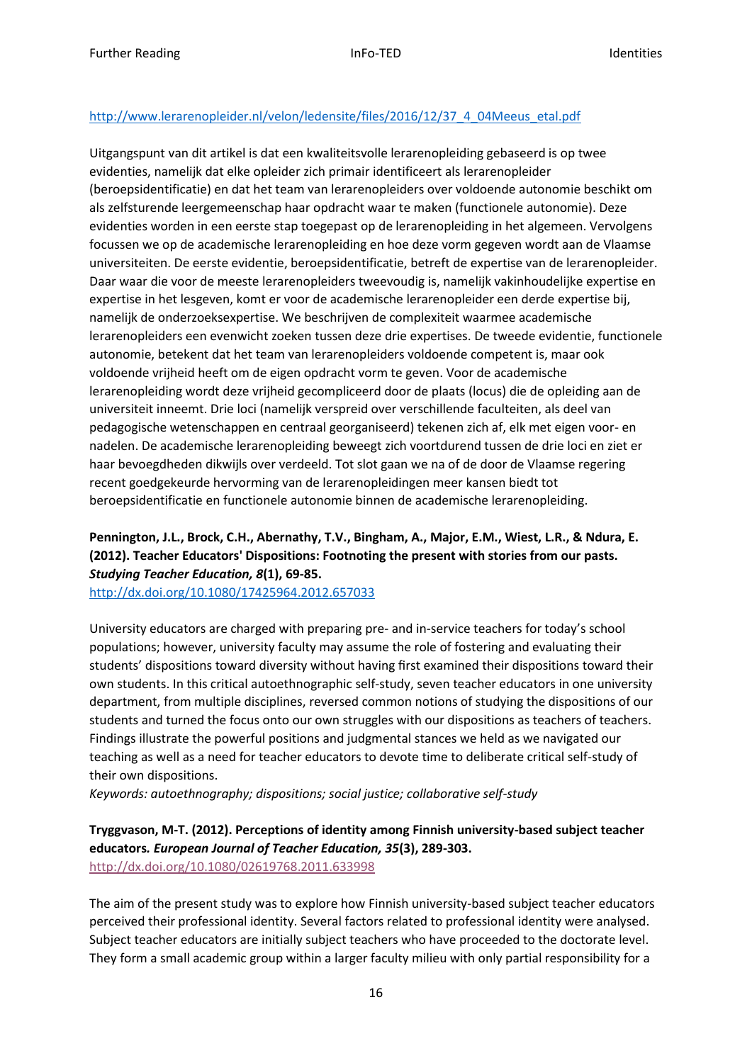#### [http://www.lerarenopleider.nl/velon/ledensite/files/2016/12/37\\_4\\_04Meeus\\_etal.pdf](http://www.lerarenopleider.nl/velon/ledensite/files/2016/12/37_4_04Meeus_etal.pdf)

Uitgangspunt van dit artikel is dat een kwaliteitsvolle lerarenopleiding gebaseerd is op twee evidenties, namelijk dat elke opleider zich primair identificeert als lerarenopleider (beroepsidentificatie) en dat het team van lerarenopleiders over voldoende autonomie beschikt om als zelfsturende leergemeenschap haar opdracht waar te maken (functionele autonomie). Deze evidenties worden in een eerste stap toegepast op de lerarenopleiding in het algemeen. Vervolgens focussen we op de academische lerarenopleiding en hoe deze vorm gegeven wordt aan de Vlaamse universiteiten. De eerste evidentie, beroepsidentificatie, betreft de expertise van de lerarenopleider. Daar waar die voor de meeste lerarenopleiders tweevoudig is, namelijk vakinhoudelijke expertise en expertise in het lesgeven, komt er voor de academische lerarenopleider een derde expertise bij, namelijk de onderzoeksexpertise. We beschrijven de complexiteit waarmee academische lerarenopleiders een evenwicht zoeken tussen deze drie expertises. De tweede evidentie, functionele autonomie, betekent dat het team van lerarenopleiders voldoende competent is, maar ook voldoende vrijheid heeft om de eigen opdracht vorm te geven. Voor de academische lerarenopleiding wordt deze vrijheid gecompliceerd door de plaats (locus) die de opleiding aan de universiteit inneemt. Drie loci (namelijk verspreid over verschillende faculteiten, als deel van pedagogische wetenschappen en centraal georganiseerd) tekenen zich af, elk met eigen voor- en nadelen. De academische lerarenopleiding beweegt zich voortdurend tussen de drie loci en ziet er haar bevoegdheden dikwijls over verdeeld. Tot slot gaan we na of de door de Vlaamse regering recent goedgekeurde hervorming van de lerarenopleidingen meer kansen biedt tot beroepsidentificatie en functionele autonomie binnen de academische lerarenopleiding.

## **Pennington, J.L., Brock, C.H., Abernathy, T.V., Bingham, A., Major, E.M., Wiest, L.R., & Ndura, E. (2012). Teacher Educators' Dispositions: Footnoting the present with stories from our pasts.**  *Studying Teacher Education, 8***(1), 69-85.**

<http://dx.doi.org/10.1080/17425964.2012.657033>

University educators are charged with preparing pre- and in-service teachers for today's school populations; however, university faculty may assume the role of fostering and evaluating their students' dispositions toward diversity without having first examined their dispositions toward their own students. In this critical autoethnographic self-study, seven teacher educators in one university department, from multiple disciplines, reversed common notions of studying the dispositions of our students and turned the focus onto our own struggles with our dispositions as teachers of teachers. Findings illustrate the powerful positions and judgmental stances we held as we navigated our teaching as well as a need for teacher educators to devote time to deliberate critical self-study of their own dispositions.

*Keywords: autoethnography; dispositions; social justice; collaborative self-study*

#### **Tryggvason, M-T. (2012). Perceptions of identity among Finnish university-based subject teacher educators***. European Journal of Teacher Education, 35***(3), 289-303.**  <http://dx.doi.org/10.1080/02619768.2011.633998>

The aim of the present study was to explore how Finnish university-based subject teacher educators perceived their professional identity. Several factors related to professional identity were analysed. Subject teacher educators are initially subject teachers who have proceeded to the doctorate level. They form a small academic group within a larger faculty milieu with only partial responsibility for a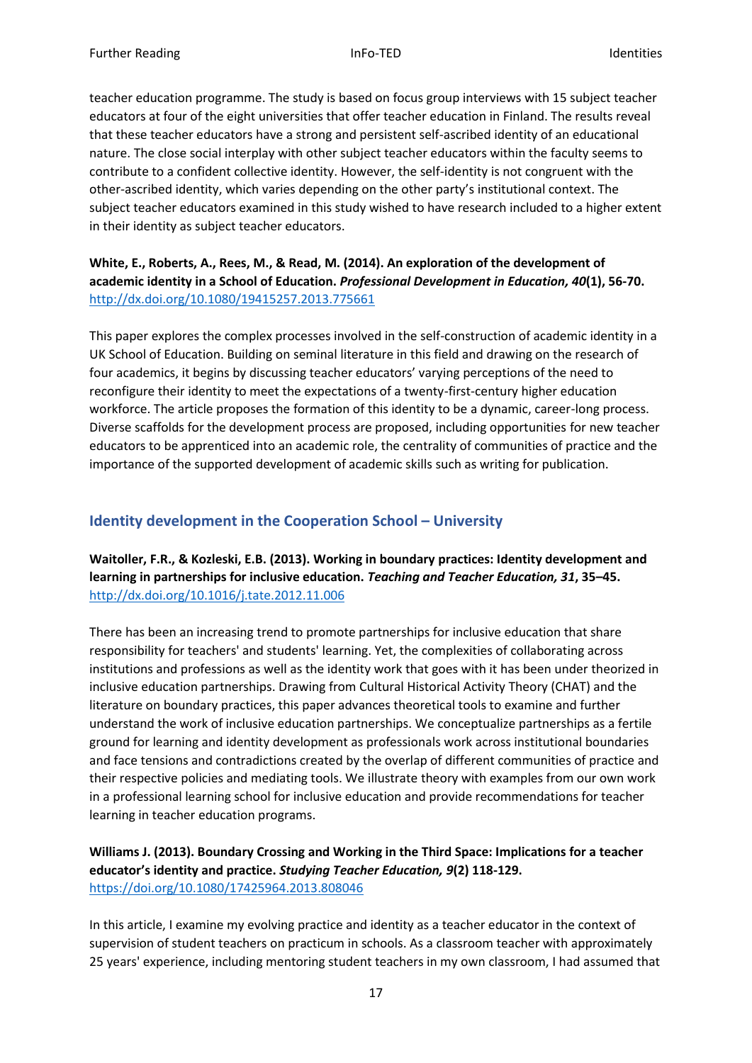teacher education programme. The study is based on focus group interviews with 15 subject teacher educators at four of the eight universities that offer teacher education in Finland. The results reveal that these teacher educators have a strong and persistent self-ascribed identity of an educational nature. The close social interplay with other subject teacher educators within the faculty seems to contribute to a confident collective identity. However, the self-identity is not congruent with the other-ascribed identity, which varies depending on the other party's institutional context. The subject teacher educators examined in this study wished to have research included to a higher extent in their identity as subject teacher educators.

**White, E., Roberts, A., Rees, M., & Read, M. (2014). An exploration of the development of academic identity in a School of Education.** *Professional Development in Education, 40***(1), 56-70.**  <http://dx.doi.org/10.1080/19415257.2013.775661>

This paper explores the complex processes involved in the self-construction of academic identity in a UK School of Education. Building on seminal literature in this field and drawing on the research of four academics, it begins by discussing teacher educators' varying perceptions of the need to reconfigure their identity to meet the expectations of a twenty-first-century higher education workforce. The article proposes the formation of this identity to be a dynamic, career-long process. Diverse scaffolds for the development process are proposed, including opportunities for new teacher educators to be apprenticed into an academic role, the centrality of communities of practice and the importance of the supported development of academic skills such as writing for publication.

## <span id="page-16-0"></span>**Identity development in the Cooperation School – University**

**Waitoller, F.R., & Kozleski, E.B. (2013). Working in boundary practices: Identity development and learning in partnerships for inclusive education.** *Teaching and Teacher Education, 31***, 35–45.**  <http://dx.doi.org/10.1016/j.tate.2012.11.006>

There has been an increasing trend to promote partnerships for inclusive education that share responsibility for teachers' and students' learning. Yet, the complexities of collaborating across institutions and professions as well as the identity work that goes with it has been under theorized in inclusive education partnerships. Drawing from Cultural Historical Activity Theory (CHAT) and the literature on boundary practices, this paper advances theoretical tools to examine and further understand the work of inclusive education partnerships. We conceptualize partnerships as a fertile ground for learning and identity development as professionals work across institutional boundaries and face tensions and contradictions created by the overlap of different communities of practice and their respective policies and mediating tools. We illustrate theory with examples from our own work in a professional learning school for inclusive education and provide recommendations for teacher learning in teacher education programs.

## **Williams J. (2013). Boundary Crossing and Working in the Third Space: Implications for a teacher educator's identity and practice.** *Studying Teacher Education, 9***(2) 118-129.**  <https://doi.org/10.1080/17425964.2013.808046>

In this article, I examine my evolving practice and identity as a teacher educator in the context of supervision of student teachers on practicum in schools. As a classroom teacher with approximately 25 years' experience, including mentoring student teachers in my own classroom, I had assumed that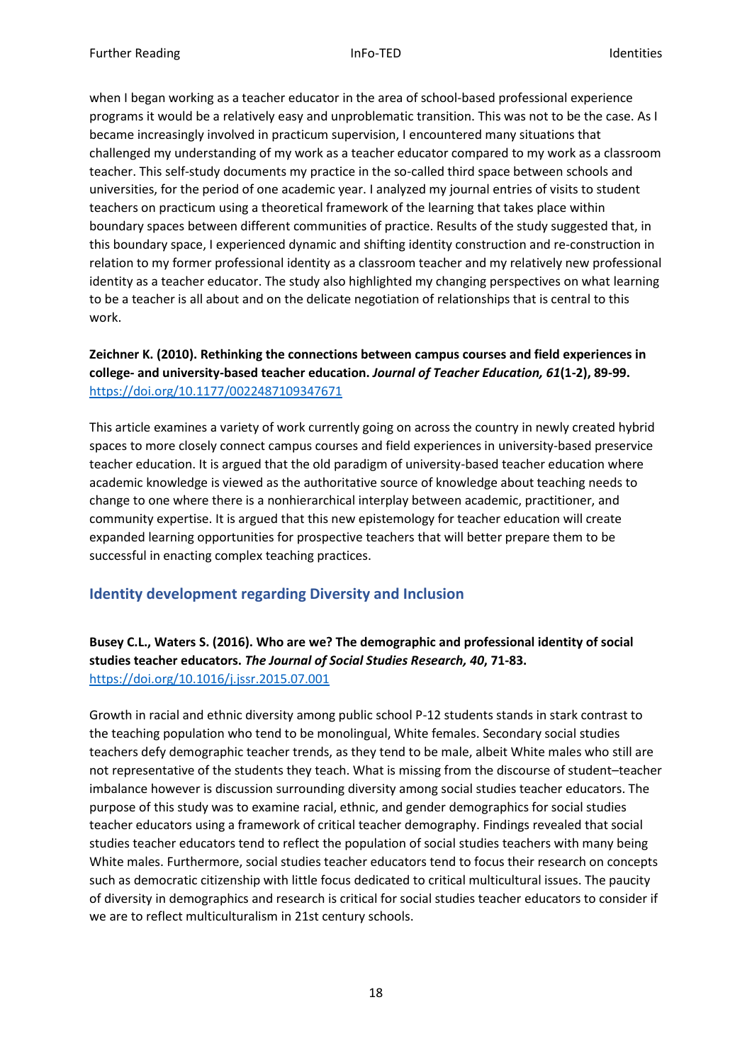when I began working as a teacher educator in the area of school-based professional experience programs it would be a relatively easy and unproblematic transition. This was not to be the case. As I became increasingly involved in practicum supervision, I encountered many situations that challenged my understanding of my work as a teacher educator compared to my work as a classroom teacher. This self-study documents my practice in the so-called third space between schools and universities, for the period of one academic year. I analyzed my journal entries of visits to student teachers on practicum using a theoretical framework of the learning that takes place within boundary spaces between different communities of practice. Results of the study suggested that, in this boundary space, I experienced dynamic and shifting identity construction and re-construction in relation to my former professional identity as a classroom teacher and my relatively new professional identity as a teacher educator. The study also highlighted my changing perspectives on what learning to be a teacher is all about and on the delicate negotiation of relationships that is central to this work.

## **Zeichner K. (2010). Rethinking the connections between campus courses and field experiences in college- and university-based teacher education.** *Journal of Teacher Education, 61***(1-2), 89-99.**  <https://doi.org/10.1177/0022487109347671>

This article examines a variety of work currently going on across the country in newly created hybrid spaces to more closely connect campus courses and field experiences in university-based preservice teacher education. It is argued that the old paradigm of university-based teacher education where academic knowledge is viewed as the authoritative source of knowledge about teaching needs to change to one where there is a nonhierarchical interplay between academic, practitioner, and community expertise. It is argued that this new epistemology for teacher education will create expanded learning opportunities for prospective teachers that will better prepare them to be successful in enacting complex teaching practices.

## <span id="page-17-0"></span>**Identity development regarding Diversity and Inclusion**

## **Busey C.L., Waters S. (2016). Who are we? The demographic and professional identity of social studies teacher educators.** *The Journal of Social Studies Research, 40***, 71-83.**  <https://doi.org/10.1016/j.jssr.2015.07.001>

Growth in racial and ethnic diversity among public school P-12 students stands in stark contrast to the teaching population who tend to be monolingual, White females. Secondary social studies teachers defy demographic teacher trends, as they tend to be male, albeit White males who still are not representative of the students they teach. What is missing from the discourse of student–teacher imbalance however is discussion surrounding diversity among social studies teacher educators. The purpose of this study was to examine racial, ethnic, and gender demographics for social studies teacher educators using a framework of critical teacher demography. Findings revealed that social studies teacher educators tend to reflect the population of social studies teachers with many being White males. Furthermore, social studies teacher educators tend to focus their research on concepts such as democratic citizenship with little focus dedicated to critical multicultural issues. The paucity of diversity in demographics and research is critical for social studies teacher educators to consider if we are to reflect multiculturalism in 21st century schools.